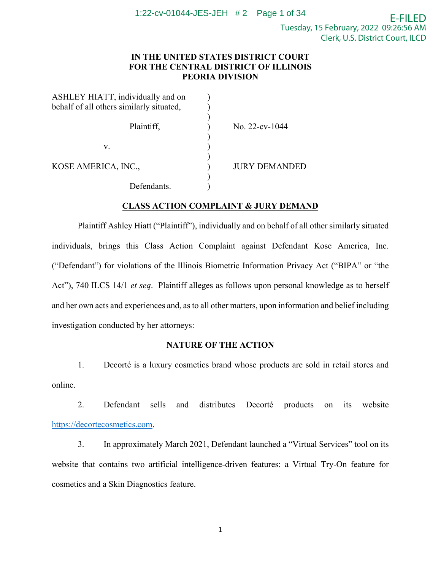# **IN THE UNITED STATES DISTRICT COURT FOR THE CENTRAL DISTRICT OF ILLINOIS PEORIA DIVISION**

| ASHLEY HIATT, individually and on        |                      |
|------------------------------------------|----------------------|
| behalf of all others similarly situated, |                      |
|                                          |                      |
| Plaintiff,                               | No. 22-cv-1044       |
|                                          |                      |
| v.                                       |                      |
|                                          |                      |
| KOSE AMERICA, INC.,                      | <b>JURY DEMANDED</b> |
|                                          |                      |
| Defendants.                              |                      |

## **CLASS ACTION COMPLAINT & JURY DEMAND**

Plaintiff Ashley Hiatt ("Plaintiff"), individually and on behalf of all other similarly situated individuals, brings this Class Action Complaint against Defendant Kose America, Inc. ("Defendant") for violations of the Illinois Biometric Information Privacy Act ("BIPA" or "the Act"), 740 ILCS 14/1 *et seq*. Plaintiff alleges as follows upon personal knowledge as to herself and her own acts and experiences and, as to all other matters, upon information and belief including investigation conducted by her attorneys:

## **NATURE OF THE ACTION**

 1. Decorté is a luxury cosmetics brand whose products are sold in retail stores and online.

 2. Defendant sells and distributes Decorté products on its website [https://decortecosmetics.com.](https://decortecosmetics.com/)

 3. In approximately March 2021, Defendant launched a "Virtual Services" tool on its website that contains two artificial intelligence-driven features: a Virtual Try-On feature for cosmetics and a Skin Diagnostics feature.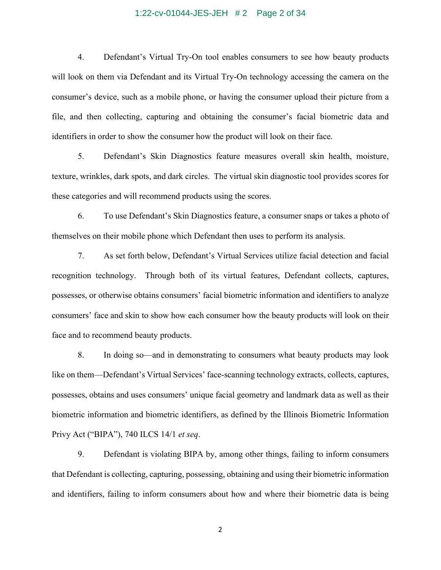#### 1:22-cv-01044-JES-JEH # 2 Page 2 of 34

4. Defendant's Virtual Try-On tool enables consumers to see how beauty products will look on them via Defendant and its Virtual Try-On technology accessing the camera on the consumer's device, such as a mobile phone, or having the consumer upload their picture from a file, and then collecting, capturing and obtaining the consumer's facial biometric data and identifiers in order to show the consumer how the product will look on their face.

5. Defendant's Skin Diagnostics feature measures overall skin health, moisture, texture, wrinkles, dark spots, and dark circles. The virtual skin diagnostic tool provides scores for these categories and will recommend products using the scores.

6. To use Defendant's Skin Diagnostics feature, a consumer snaps or takes a photo of themselves on their mobile phone which Defendant then uses to perform its analysis.

7. As set forth below, Defendant's Virtual Services utilize facial detection and facial recognition technology. Through both of its virtual features, Defendant collects, captures, possesses, or otherwise obtains consumers' facial biometric information and identifiers to analyze consumers' face and skin to show how each consumer how the beauty products will look on their face and to recommend beauty products.

8. In doing so—and in demonstrating to consumers what beauty products may look like on them—Defendant's Virtual Services' face-scanning technology extracts, collects, captures, possesses, obtains and uses consumers' unique facial geometry and landmark data as well as their biometric information and biometric identifiers, as defined by the Illinois Biometric Information Privy Act ("BIPA"), 740 ILCS 14/1 *et seq*.

9. Defendant is violating BIPA by, among other things, failing to inform consumers that Defendant is collecting, capturing, possessing, obtaining and using their biometric information and identifiers, failing to inform consumers about how and where their biometric data is being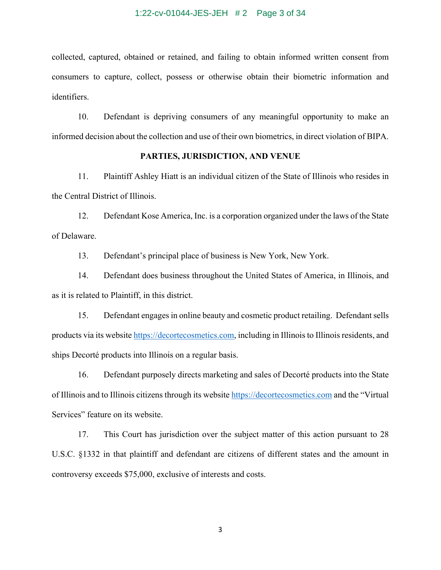### 1:22-cv-01044-JES-JEH # 2 Page 3 of 34

collected, captured, obtained or retained, and failing to obtain informed written consent from consumers to capture, collect, possess or otherwise obtain their biometric information and identifiers.

10. Defendant is depriving consumers of any meaningful opportunity to make an informed decision about the collection and use of their own biometrics, in direct violation of BIPA.

### **PARTIES, JURISDICTION, AND VENUE**

11. Plaintiff Ashley Hiatt is an individual citizen of the State of Illinois who resides in the Central District of Illinois.

12. Defendant Kose America, Inc. is a corporation organized under the laws of the State of Delaware.

13. Defendant's principal place of business is New York, New York.

14. Defendant does business throughout the United States of America, in Illinois, and as it is related to Plaintiff, in this district.

15. Defendant engages in online beauty and cosmetic product retailing. Defendant sells products via its websit[e https://decortecosmetics.com,](https://decortecosmetics.com/) including in Illinois to Illinois residents, and ships Decorté products into Illinois on a regular basis.

16. Defendant purposely directs marketing and sales of Decorté products into the State of Illinois and to Illinois citizens through its website [https://decortecosmetics.com](https://decortecosmetics.com/) and the "Virtual Services" feature on its website.

17. This Court has jurisdiction over the subject matter of this action pursuant to 28 U.S.C. §1332 in that plaintiff and defendant are citizens of different states and the amount in controversy exceeds \$75,000, exclusive of interests and costs.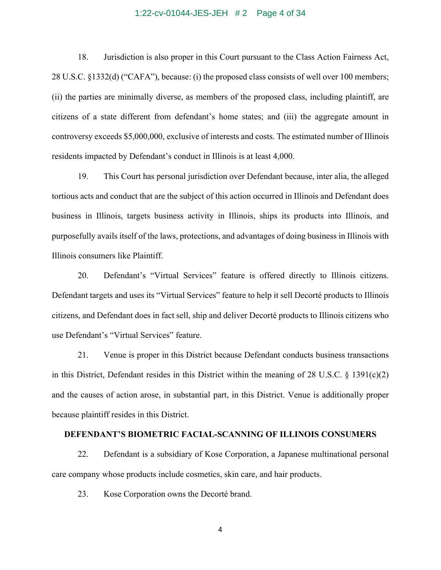## 1:22-cv-01044-JES-JEH # 2 Page 4 of 34

18. Jurisdiction is also proper in this Court pursuant to the Class Action Fairness Act, 28 U.S.C. §1332(d) ("CAFA"), because: (i) the proposed class consists of well over 100 members; (ii) the parties are minimally diverse, as members of the proposed class, including plaintiff, are citizens of a state different from defendant's home states; and (iii) the aggregate amount in controversy exceeds \$5,000,000, exclusive of interests and costs. The estimated number of Illinois residents impacted by Defendant's conduct in Illinois is at least 4,000.

19. This Court has personal jurisdiction over Defendant because, inter alia, the alleged tortious acts and conduct that are the subject of this action occurred in Illinois and Defendant does business in Illinois, targets business activity in Illinois, ships its products into Illinois, and purposefully avails itself of the laws, protections, and advantages of doing business in Illinois with Illinois consumers like Plaintiff.

20. Defendant's "Virtual Services" feature is offered directly to Illinois citizens. Defendant targets and uses its "Virtual Services" feature to help it sell Decorté products to Illinois citizens, and Defendant does in fact sell, ship and deliver Decorté products to Illinois citizens who use Defendant's "Virtual Services" feature.

21. Venue is proper in this District because Defendant conducts business transactions in this District, Defendant resides in this District within the meaning of 28 U.S.C.  $\S$  1391(c)(2) and the causes of action arose, in substantial part, in this District. Venue is additionally proper because plaintiff resides in this District.

### **DEFENDANT'S BIOMETRIC FACIAL-SCANNING OF ILLINOIS CONSUMERS**

22. Defendant is a subsidiary of Kose Corporation, a Japanese multinational personal care company whose products include cosmetics, skin care, and hair products.

23. Kose Corporation owns the Decorté brand.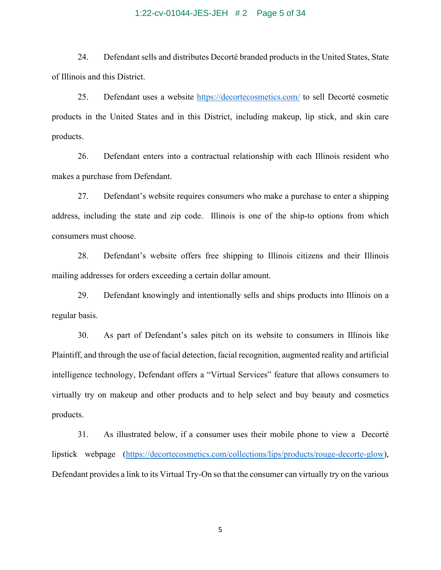### 1:22-cv-01044-JES-JEH # 2 Page 5 of 34

24. Defendant sells and distributes Decorté branded products in the United States, State of Illinois and this District.

25. Defendant uses a website<https://decortecosmetics.com/> to sell Decorté cosmetic products in the United States and in this District, including makeup, lip stick, and skin care products.

26. Defendant enters into a contractual relationship with each Illinois resident who makes a purchase from Defendant.

27. Defendant's website requires consumers who make a purchase to enter a shipping address, including the state and zip code. Illinois is one of the ship-to options from which consumers must choose.

28. Defendant's website offers free shipping to Illinois citizens and their Illinois mailing addresses for orders exceeding a certain dollar amount.

29. Defendant knowingly and intentionally sells and ships products into Illinois on a regular basis.

30. As part of Defendant's sales pitch on its website to consumers in Illinois like Plaintiff, and through the use of facial detection, facial recognition, augmented reality and artificial intelligence technology, Defendant offers a "Virtual Services" feature that allows consumers to virtually try on makeup and other products and to help select and buy beauty and cosmetics products.

31. As illustrated below, if a consumer uses their mobile phone to view a Decorté lipstick webpage [\(https://decortecosmetics.com/collections/lips/products/rouge-decorte-glow\)](https://decortecosmetics.com/collections/lips/products/rouge-decorte-glow), Defendant provides a link to its Virtual Try-On so that the consumer can virtually try on the various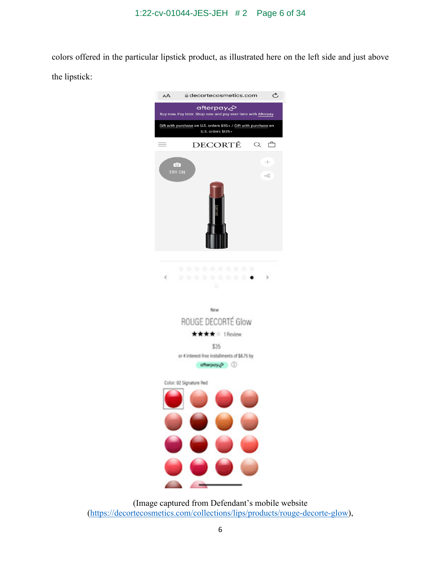colors offered in the particular lipstick product, as illustrated here on the left side and just above the lipstick:



(Image captured from Defendant's mobile website [\(https://decortecosmetics.com/collections/lips/products/rouge-decorte-glow\)](https://decortecosmetics.com/collections/lips/products/rouge-decorte-glow),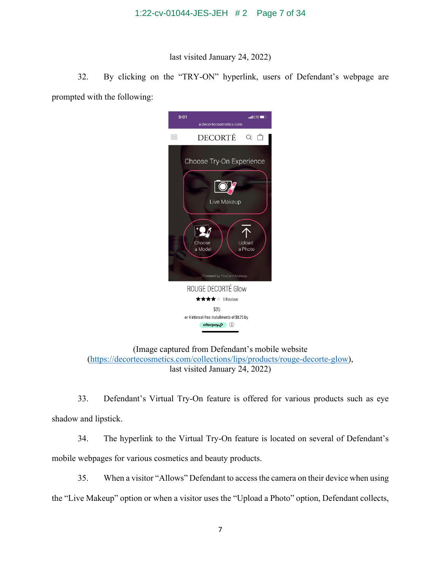last visited January 24, 2022)

32. By clicking on the "TRY-ON" hyperlink, users of Defendant's webpage are prompted with the following:



(Image captured from Defendant's mobile website [\(https://decortecosmetics.com/collections/lips/products/rouge-decorte-glow\)](https://decortecosmetics.com/collections/lips/products/rouge-decorte-glow), last visited January 24, 2022)

33. Defendant's Virtual Try-On feature is offered for various products such as eye shadow and lipstick.

34. The hyperlink to the Virtual Try-On feature is located on several of Defendant's mobile webpages for various cosmetics and beauty products.

35. When a visitor "Allows" Defendant to access the camera on their device when using the "Live Makeup" option or when a visitor uses the "Upload a Photo" option, Defendant collects,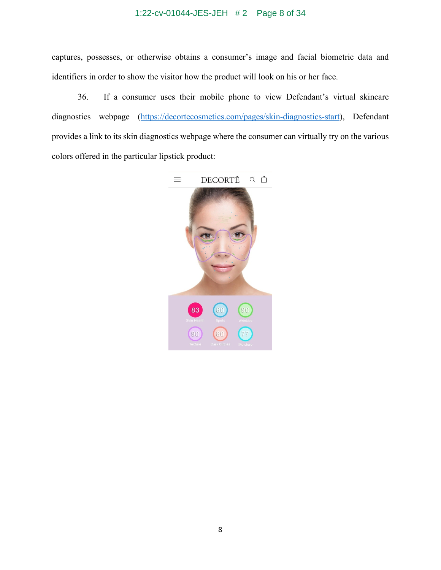# 1:22-cv-01044-JES-JEH # 2 Page 8 of 34

captures, possesses, or otherwise obtains a consumer's image and facial biometric data and identifiers in order to show the visitor how the product will look on his or her face.

36. If a consumer uses their mobile phone to view Defendant's virtual skincare diagnostics webpage [\(https://decortecosmetics.com/pages/skin-diagnostics-start\)](https://decortecosmetics.com/pages/skin-diagnostics-start), Defendant provides a link to its skin diagnostics webpage where the consumer can virtually try on the various colors offered in the particular lipstick product:

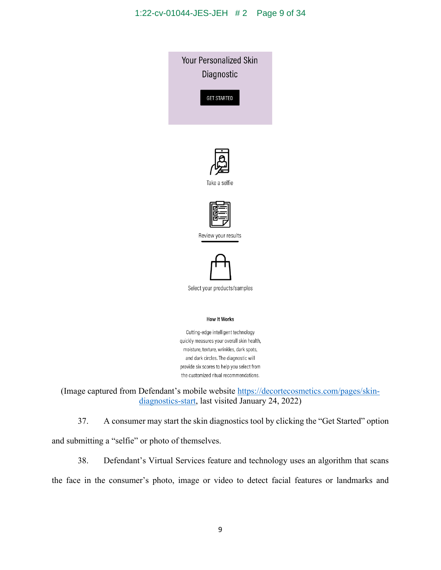

(Image captured from Defendant's mobile website [https://decortecosmetics.com/pages/skin](https://decortecosmetics.com/pages/skin-diagnostics-start)[diagnostics-start,](https://decortecosmetics.com/pages/skin-diagnostics-start) last visited January 24, 2022)

37. A consumer may start the skin diagnostics tool by clicking the "Get Started" option and submitting a "selfie" or photo of themselves.

38. Defendant's Virtual Services feature and technology uses an algorithm that scans the face in the consumer's photo, image or video to detect facial features or landmarks and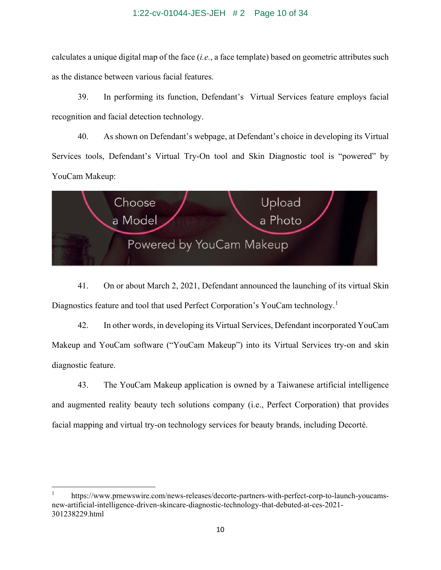calculates a unique digital map of the face (*i.e.*, a face template) based on geometric attributes such as the distance between various facial features.

39. In performing its function, Defendant's Virtual Services feature employs facial recognition and facial detection technology.

40. As shown on Defendant's webpage, at Defendant's choice in developing its Virtual Services tools, Defendant's Virtual Try-On tool and Skin Diagnostic tool is "powered" by YouCam Makeup:



41. On or about March 2, 2021, Defendant announced the launching of its virtual Skin Diagnostics feature and tool that used Perfect Corporation's YouCam technology.<sup>[1](#page-9-0)</sup>

42. In other words, in developing its Virtual Services, Defendant incorporated YouCam Makeup and YouCam software ("YouCam Makeup") into its Virtual Services try-on and skin diagnostic feature.

43. The YouCam Makeup application is owned by a Taiwanese artificial intelligence and augmented reality beauty tech solutions company (i.e., Perfect Corporation) that provides facial mapping and virtual try-on technology services for beauty brands, including Decorté.

<span id="page-9-0"></span><sup>1</sup> https://www.prnewswire.com/news-releases/decorte-partners-with-perfect-corp-to-launch-youcamsnew-artificial-intelligence-driven-skincare-diagnostic-technology-that-debuted-at-ces-2021- 301238229.html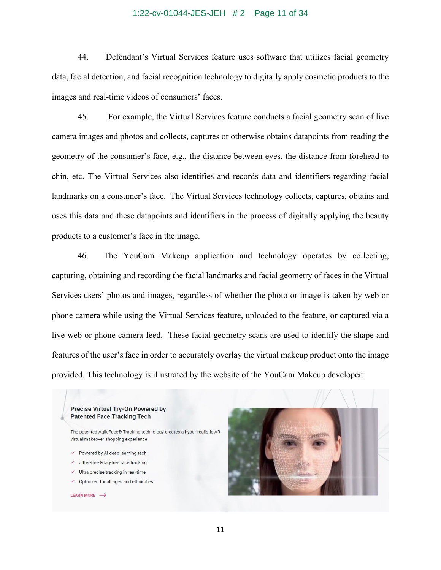### 1:22-cv-01044-JES-JEH # 2 Page 11 of 34

44. Defendant's Virtual Services feature uses software that utilizes facial geometry data, facial detection, and facial recognition technology to digitally apply cosmetic products to the images and real-time videos of consumers' faces.

 45. For example, the Virtual Services feature conducts a facial geometry scan of live camera images and photos and collects, captures or otherwise obtains datapoints from reading the geometry of the consumer's face, e.g., the distance between eyes, the distance from forehead to chin, etc. The Virtual Services also identifies and records data and identifiers regarding facial landmarks on a consumer's face. The Virtual Services technology collects, captures, obtains and uses this data and these datapoints and identifiers in the process of digitally applying the beauty products to a customer's face in the image.

46. The YouCam Makeup application and technology operates by collecting, capturing, obtaining and recording the facial landmarks and facial geometry of faces in the Virtual Services users' photos and images, regardless of whether the photo or image is taken by web or phone camera while using the Virtual Services feature, uploaded to the feature, or captured via a live web or phone camera feed. These facial-geometry scans are used to identify the shape and features of the user's face in order to accurately overlay the virtual makeup product onto the image provided. This technology is illustrated by the website of the YouCam Makeup developer:

#### **Precise Virtual Try-On Powered by Patented Face Tracking Tech**

- $\vee$  Powered by AI deep learning tech
- ✓ Jitter-free & lag-free face tracking
- $\checkmark$  Ultra precise tracking in real-time
- ✓ Optmized for all ages and ethnicities

#### **LEARN MORE**  $\rightarrow$



The patented AgileFace® Tracking technology creates a hyper-realistic AR virtual makeover shopping experience.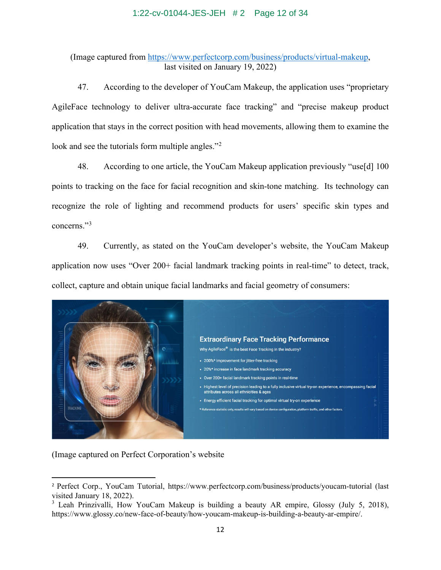### 1:22-cv-01044-JES-JEH # 2 Page 12 of 34

(Image captured from [https://www.perfectcorp.com/business/products/virtual-makeup,](https://www.perfectcorp.com/business/products/virtual-makeup) last visited on January 19, 2022)

47. According to the developer of YouCam Makeup, the application uses "proprietary AgileFace technology to deliver ultra-accurate face tracking" and "precise makeup product application that stays in the correct position with head movements, allowing them to examine the look and see the tutorials form multiple angles."<sup>[2](#page-11-0)</sup>

48. According to one article, the YouCam Makeup application previously "use[d] 100 points to tracking on the face for facial recognition and skin-tone matching. Its technology can recognize the role of lighting and recommend products for users' specific skin types and concerns."[3](#page-11-1)

49. Currently, as stated on the YouCam developer's website, the YouCam Makeup application now uses "Over 200+ facial landmark tracking points in real-time" to detect, track, collect, capture and obtain unique facial landmarks and facial geometry of consumers:



(Image captured on Perfect Corporation's website

<span id="page-11-0"></span><sup>2</sup> Perfect Corp., YouCam Tutorial,<https://www.perfectcorp.com/business/products/youcam-tutorial> (last visited January 18, 2022).

<span id="page-11-1"></span><sup>&</sup>lt;sup>3</sup> Leah Prinzivalli, How YouCam Makeup is building a beauty AR empire, Glossy (July 5, 2018), https://www.glossy.co/new-face-of-beauty/how-youcam-makeup-is-building-a-beauty-ar-empire/.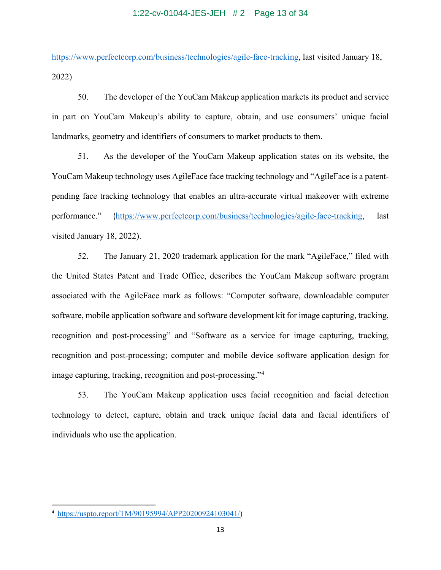### 1:22-cv-01044-JES-JEH # 2 Page 13 of 34

[https://www.perfectcorp.com/business/technologies/agile-face-tracking,](https://www.perfectcorp.com/business/technologies/agile-face-tracking) last visited January 18, 2022)

50. The developer of the YouCam Makeup application markets its product and service in part on YouCam Makeup's ability to capture, obtain, and use consumers' unique facial landmarks, geometry and identifiers of consumers to market products to them.

51. As the developer of the YouCam Makeup application states on its website, the YouCam Makeup technology uses AgileFace face tracking technology and "AgileFace is a patentpending face tracking technology that enables an ultra-accurate virtual makeover with extreme performance." ([https://www.perfectcorp.com/business/technologies/agile-face-tracking,](https://www.perfectcorp.com/business/technologies/agile-face-tracking) last visited January 18, 2022).

52. The January 21, 2020 trademark application for the mark "AgileFace," filed with the United States Patent and Trade Office, describes the YouCam Makeup software program associated with the AgileFace mark as follows: "Computer software, downloadable computer software, mobile application software and software development kit for image capturing, tracking, recognition and post-processing" and "Software as a service for image capturing, tracking, recognition and post-processing; computer and mobile device software application design for image capturing, tracking, recognition and post-processing."[4](#page-12-0)

53. The YouCam Makeup application uses facial recognition and facial detection technology to detect, capture, obtain and track unique facial data and facial identifiers of individuals who use the application.

<span id="page-12-0"></span><sup>4</sup> [https://uspto.report/TM/90195994/APP20200924103041/\)](https://uspto.report/TM/90195994/APP20200924103041/)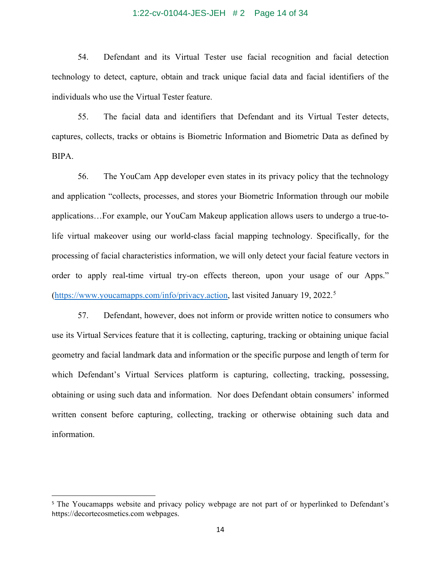### 1:22-cv-01044-JES-JEH # 2 Page 14 of 34

54. Defendant and its Virtual Tester use facial recognition and facial detection technology to detect, capture, obtain and track unique facial data and facial identifiers of the individuals who use the Virtual Tester feature.

55. The facial data and identifiers that Defendant and its Virtual Tester detects, captures, collects, tracks or obtains is Biometric Information and Biometric Data as defined by BIPA.

56. The YouCam App developer even states in its privacy policy that the technology and application "collects, processes, and stores your Biometric Information through our mobile applications…For example, our YouCam Makeup application allows users to undergo a true-tolife virtual makeover using our world-class facial mapping technology. Specifically, for the processing of facial characteristics information, we will only detect your facial feature vectors in order to apply real-time virtual try-on effects thereon, upon your usage of our Apps." [\(https://www.youcamapps.com/info/privacy.action,](https://www.youcamapps.com/info/privacy.action) last visited January 19, 2022.<sup>[5](#page-13-0)</sup>

57. Defendant, however, does not inform or provide written notice to consumers who use its Virtual Services feature that it is collecting, capturing, tracking or obtaining unique facial geometry and facial landmark data and information or the specific purpose and length of term for which Defendant's Virtual Services platform is capturing, collecting, tracking, possessing, obtaining or using such data and information. Nor does Defendant obtain consumers' informed written consent before capturing, collecting, tracking or otherwise obtaining such data and information.

<span id="page-13-0"></span><sup>&</sup>lt;sup>5</sup> The Youcamapps website and privacy policy webpage are not part of or hyperlinked to Defendant's https://decortecosmetics.com webpages.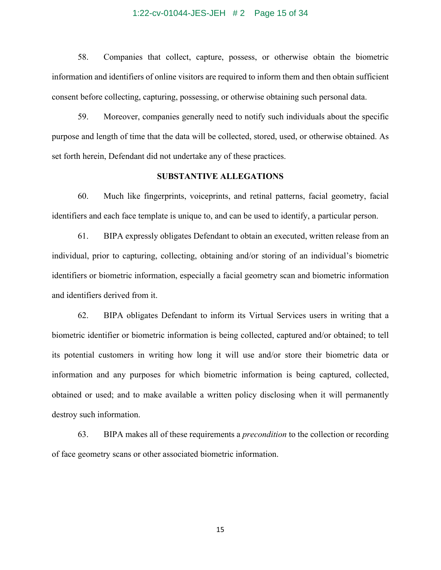#### 1:22-cv-01044-JES-JEH # 2 Page 15 of 34

58. Companies that collect, capture, possess, or otherwise obtain the biometric information and identifiers of online visitors are required to inform them and then obtain sufficient consent before collecting, capturing, possessing, or otherwise obtaining such personal data.

59. Moreover, companies generally need to notify such individuals about the specific purpose and length of time that the data will be collected, stored, used, or otherwise obtained. As set forth herein, Defendant did not undertake any of these practices.

### **SUBSTANTIVE ALLEGATIONS**

60. Much like fingerprints, voiceprints, and retinal patterns, facial geometry, facial identifiers and each face template is unique to, and can be used to identify, a particular person.

61. BIPA expressly obligates Defendant to obtain an executed, written release from an individual, prior to capturing, collecting, obtaining and/or storing of an individual's biometric identifiers or biometric information, especially a facial geometry scan and biometric information and identifiers derived from it.

62. BIPA obligates Defendant to inform its Virtual Services users in writing that a biometric identifier or biometric information is being collected, captured and/or obtained; to tell its potential customers in writing how long it will use and/or store their biometric data or information and any purposes for which biometric information is being captured, collected, obtained or used; and to make available a written policy disclosing when it will permanently destroy such information.

63. BIPA makes all of these requirements a *precondition* to the collection or recording of face geometry scans or other associated biometric information.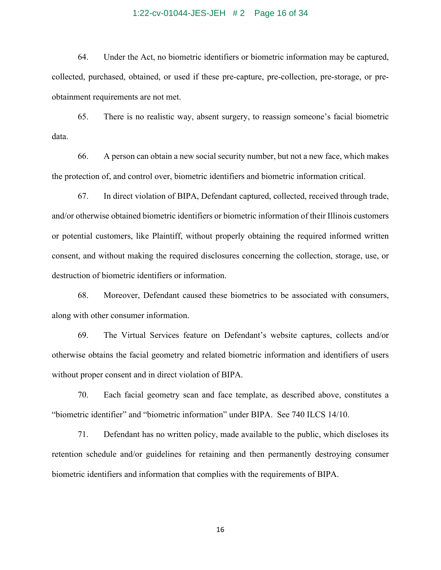### 1:22-cv-01044-JES-JEH # 2 Page 16 of 34

64. Under the Act, no biometric identifiers or biometric information may be captured, collected, purchased, obtained, or used if these pre-capture, pre-collection, pre-storage, or preobtainment requirements are not met.

65. There is no realistic way, absent surgery, to reassign someone's facial biometric data.

66. A person can obtain a new social security number, but not a new face, which makes the protection of, and control over, biometric identifiers and biometric information critical.

67. In direct violation of BIPA, Defendant captured, collected, received through trade, and/or otherwise obtained biometric identifiers or biometric information of their Illinois customers or potential customers, like Plaintiff, without properly obtaining the required informed written consent, and without making the required disclosures concerning the collection, storage, use, or destruction of biometric identifiers or information.

68. Moreover, Defendant caused these biometrics to be associated with consumers, along with other consumer information.

69. The Virtual Services feature on Defendant's website captures, collects and/or otherwise obtains the facial geometry and related biometric information and identifiers of users without proper consent and in direct violation of BIPA.

70. Each facial geometry scan and face template, as described above, constitutes a "biometric identifier" and "biometric information" under BIPA. See 740 ILCS 14/10.

71. Defendant has no written policy, made available to the public, which discloses its retention schedule and/or guidelines for retaining and then permanently destroying consumer biometric identifiers and information that complies with the requirements of BIPA.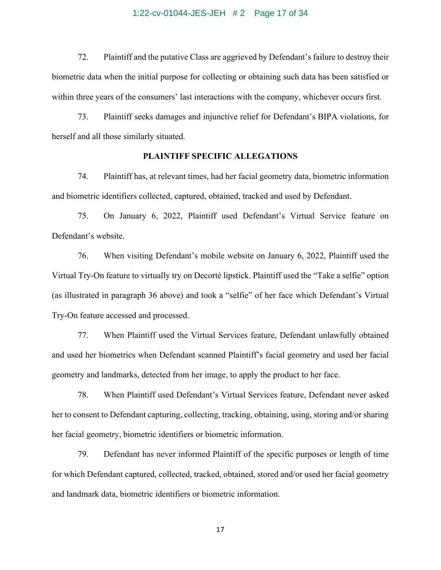#### 1:22-cv-01044-JES-JEH # 2 Page 17 of 34

72. Plaintiff and the putative Class are aggrieved by Defendant's failure to destroy their biometric data when the initial purpose for collecting or obtaining such data has been satisfied or within three years of the consumers' last interactions with the company, whichever occurs first.

73. Plaintiff seeks damages and injunctive relief for Defendant's BIPA violations, for herself and all those similarly situated.

### **PLAINTIFF SPECIFIC ALLEGATIONS**

74. Plaintiff has, at relevant times, had her facial geometry data, biometric information and biometric identifiers collected, captured, obtained, tracked and used by Defendant.

75. On January 6, 2022, Plaintiff used Defendant's Virtual Service feature on Defendant's website.

76. When visiting Defendant's mobile website on January 6, 2022, Plaintiff used the Virtual Try-On feature to virtually try on Decorté lipstick. Plaintiff used the "Take a selfie" option (as illustrated in paragraph 36 above) and took a "selfie" of her face which Defendant's Virtual Try-On feature accessed and processed.

77. When Plaintiff used the Virtual Services feature, Defendant unlawfully obtained and used her biometrics when Defendant scanned Plaintiff's facial geometry and used her facial geometry and landmarks, detected from her image, to apply the product to her face.

78. When Plaintiff used Defendant's Virtual Services feature, Defendant never asked her to consent to Defendant capturing, collecting, tracking, obtaining, using, storing and/or sharing her facial geometry, biometric identifiers or biometric information.

79. Defendant has never informed Plaintiff of the specific purposes or length of time for which Defendant captured, collected, tracked, obtained, stored and/or used her facial geometry and landmark data, biometric identifiers or biometric information.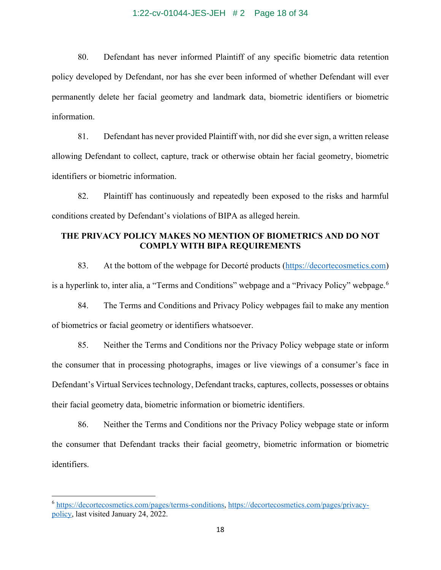### 1:22-cv-01044-JES-JEH # 2 Page 18 of 34

80. Defendant has never informed Plaintiff of any specific biometric data retention policy developed by Defendant, nor has she ever been informed of whether Defendant will ever permanently delete her facial geometry and landmark data, biometric identifiers or biometric information.

81. Defendant has never provided Plaintiff with, nor did she ever sign, a written release allowing Defendant to collect, capture, track or otherwise obtain her facial geometry, biometric identifiers or biometric information.

82. Plaintiff has continuously and repeatedly been exposed to the risks and harmful conditions created by Defendant's violations of BIPA as alleged herein.

# **THE PRIVACY POLICY MAKES NO MENTION OF BIOMETRICS AND DO NOT COMPLY WITH BIPA REQUIREMENTS**

83. At the bottom of the webpage for Decorté products [\(https://decortecosmetics.com\)](https://www.kate-global.net/sg/) is a hyperlink to, inter alia, a "Terms and Conditions" webpage and a "Privacy Policy" webpage.<sup>[6](#page-17-0)</sup>

84. The Terms and Conditions and Privacy Policy webpages fail to make any mention of biometrics or facial geometry or identifiers whatsoever.

85. Neither the Terms and Conditions nor the Privacy Policy webpage state or inform the consumer that in processing photographs, images or live viewings of a consumer's face in Defendant's Virtual Services technology, Defendant tracks, captures, collects, possesses or obtains their facial geometry data, biometric information or biometric identifiers.

86. Neither the Terms and Conditions nor the Privacy Policy webpage state or inform the consumer that Defendant tracks their facial geometry, biometric information or biometric identifiers.

<span id="page-17-0"></span><sup>6</sup> [https://decortecosmetics.com/pages/terms-conditions,](https://decortecosmetics.com/pages/terms-conditions) [https://decortecosmetics.com/pages/privacy](https://decortecosmetics.com/pages/privacy-policy)[policy,](https://decortecosmetics.com/pages/privacy-policy) last visited January 24, 2022.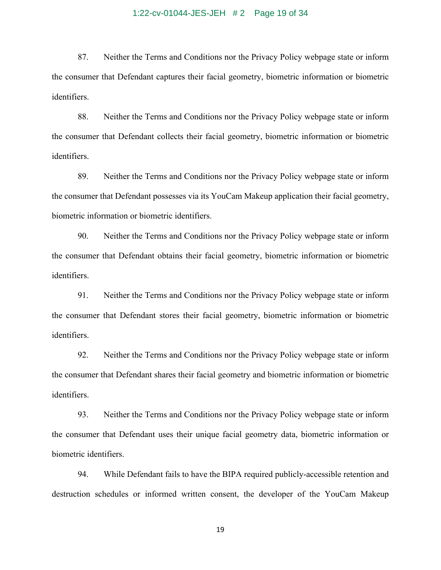#### 1:22-cv-01044-JES-JEH # 2 Page 19 of 34

87. Neither the Terms and Conditions nor the Privacy Policy webpage state or inform the consumer that Defendant captures their facial geometry, biometric information or biometric identifiers.

88. Neither the Terms and Conditions nor the Privacy Policy webpage state or inform the consumer that Defendant collects their facial geometry, biometric information or biometric identifiers.

89. Neither the Terms and Conditions nor the Privacy Policy webpage state or inform the consumer that Defendant possesses via its YouCam Makeup application their facial geometry, biometric information or biometric identifiers.

90. Neither the Terms and Conditions nor the Privacy Policy webpage state or inform the consumer that Defendant obtains their facial geometry, biometric information or biometric identifiers.

91. Neither the Terms and Conditions nor the Privacy Policy webpage state or inform the consumer that Defendant stores their facial geometry, biometric information or biometric identifiers.

92. Neither the Terms and Conditions nor the Privacy Policy webpage state or inform the consumer that Defendant shares their facial geometry and biometric information or biometric identifiers.

93. Neither the Terms and Conditions nor the Privacy Policy webpage state or inform the consumer that Defendant uses their unique facial geometry data, biometric information or biometric identifiers.

94. While Defendant fails to have the BIPA required publicly-accessible retention and destruction schedules or informed written consent, the developer of the YouCam Makeup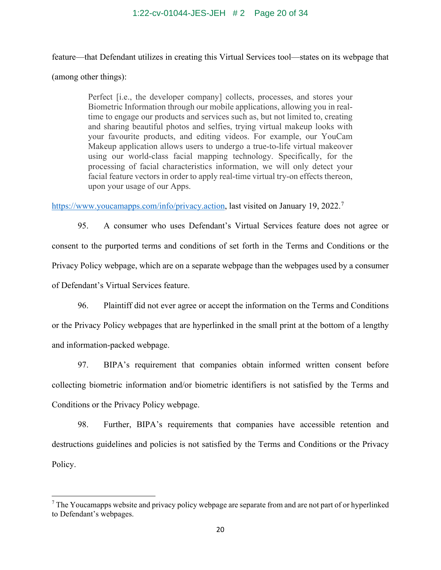### 1:22-cv-01044-JES-JEH # 2 Page 20 of 34

feature—that Defendant utilizes in creating this Virtual Services tool—states on its webpage that (among other things):

> Perfect [i.e., the developer company] collects, processes, and stores your Biometric Information through our mobile applications, allowing you in realtime to engage our products and services such as, but not limited to, creating and sharing beautiful photos and selfies, trying virtual makeup looks with your favourite products, and editing videos. For example, our YouCam Makeup application allows users to undergo a true-to-life virtual makeover using our world-class facial mapping technology. Specifically, for the processing of facial characteristics information, we will only detect your facial feature vectors in order to apply real-time virtual try-on effects thereon, upon your usage of our Apps.

[https://www.youcamapps.com/info/privacy.action,](https://www.youcamapps.com/info/privacy.action) last visited on January 19, 2022.<sup>[7](#page-19-0)</sup>

95. A consumer who uses Defendant's Virtual Services feature does not agree or consent to the purported terms and conditions of set forth in the Terms and Conditions or the Privacy Policy webpage, which are on a separate webpage than the webpages used by a consumer of Defendant's Virtual Services feature.

96. Plaintiff did not ever agree or accept the information on the Terms and Conditions or the Privacy Policy webpages that are hyperlinked in the small print at the bottom of a lengthy and information-packed webpage.

97. BIPA's requirement that companies obtain informed written consent before collecting biometric information and/or biometric identifiers is not satisfied by the Terms and Conditions or the Privacy Policy webpage.

98. Further, BIPA's requirements that companies have accessible retention and destructions guidelines and policies is not satisfied by the Terms and Conditions or the Privacy Policy.

<span id="page-19-0"></span> $7$  The Youcamapps website and privacy policy webpage are separate from and are not part of or hyperlinked to Defendant's webpages.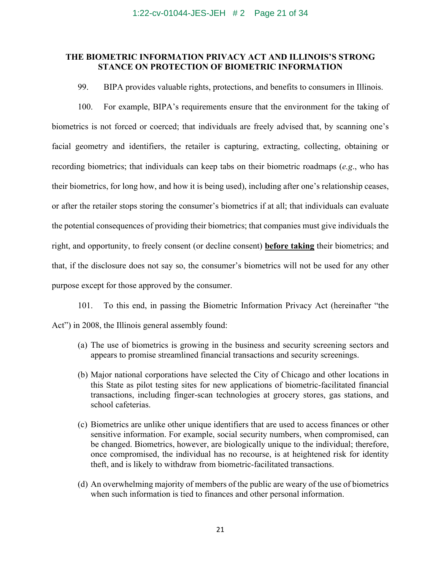#### 1:22-cv-01044-JES-JEH # 2 Page 21 of 34

## **THE BIOMETRIC INFORMATION PRIVACY ACT AND ILLINOIS'S STRONG STANCE ON PROTECTION OF BIOMETRIC INFORMATION**

99. BIPA provides valuable rights, protections, and benefits to consumers in Illinois.

100. For example, BIPA's requirements ensure that the environment for the taking of biometrics is not forced or coerced; that individuals are freely advised that, by scanning one's facial geometry and identifiers, the retailer is capturing, extracting, collecting, obtaining or recording biometrics; that individuals can keep tabs on their biometric roadmaps (*e.g*., who has their biometrics, for long how, and how it is being used), including after one's relationship ceases, or after the retailer stops storing the consumer's biometrics if at all; that individuals can evaluate the potential consequences of providing their biometrics; that companies must give individuals the right, and opportunity, to freely consent (or decline consent) **before taking** their biometrics; and that, if the disclosure does not say so, the consumer's biometrics will not be used for any other purpose except for those approved by the consumer.

101. To this end, in passing the Biometric Information Privacy Act (hereinafter "the Act") in 2008, the Illinois general assembly found:

- (a) The use of biometrics is growing in the business and security screening sectors and appears to promise streamlined financial transactions and security screenings.
- (b) Major national corporations have selected the City of Chicago and other locations in this State as pilot testing sites for new applications of biometric-facilitated financial transactions, including finger-scan technologies at grocery stores, gas stations, and school cafeterias.
- (c) Biometrics are unlike other unique identifiers that are used to access finances or other sensitive information. For example, social security numbers, when compromised, can be changed. Biometrics, however, are biologically unique to the individual; therefore, once compromised, the individual has no recourse, is at heightened risk for identity theft, and is likely to withdraw from biometric-facilitated transactions.
- (d) An overwhelming majority of members of the public are weary of the use of biometrics when such information is tied to finances and other personal information.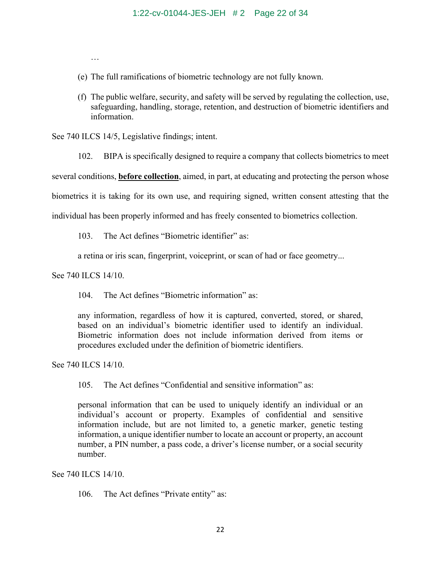…

- (e) The full ramifications of biometric technology are not fully known.
- (f) The public welfare, security, and safety will be served by regulating the collection, use, safeguarding, handling, storage, retention, and destruction of biometric identifiers and information.

See 740 ILCS 14/5, Legislative findings; intent.

102. BIPA is specifically designed to require a company that collects biometrics to meet

several conditions, **before collection**, aimed, in part, at educating and protecting the person whose

biometrics it is taking for its own use, and requiring signed, written consent attesting that the

individual has been properly informed and has freely consented to biometrics collection.

103. The Act defines "Biometric identifier" as:

a retina or iris scan, fingerprint, voiceprint, or scan of had or face geometry...

See 740 ILCS 14/10.

104. The Act defines "Biometric information" as:

any information, regardless of how it is captured, converted, stored, or shared, based on an individual's biometric identifier used to identify an individual. Biometric information does not include information derived from items or procedures excluded under the definition of biometric identifiers.

See 740 ILCS 14/10.

105. The Act defines "Confidential and sensitive information" as:

personal information that can be used to uniquely identify an individual or an individual's account or property. Examples of confidential and sensitive information include, but are not limited to, a genetic marker, genetic testing information, a unique identifier number to locate an account or property, an account number, a PIN number, a pass code, a driver's license number, or a social security number.

See 740 ILCS 14/10.

106. The Act defines "Private entity" as: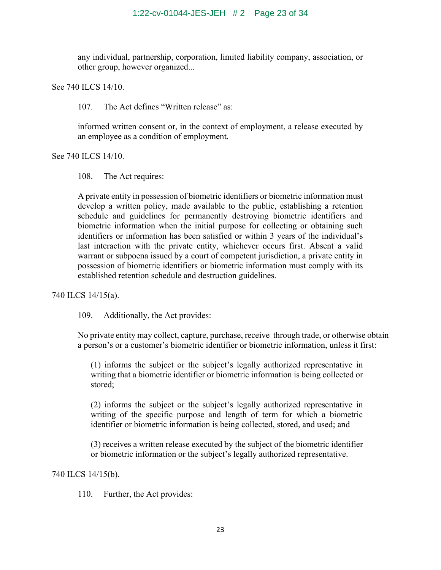any individual, partnership, corporation, limited liability company, association, or other group, however organized...

See 740 ILCS 14/10.

107. The Act defines "Written release" as:

informed written consent or, in the context of employment, a release executed by an employee as a condition of employment.

See 740 ILCS 14/10.

108. The Act requires:

A private entity in possession of biometric identifiers or biometric information must develop a written policy, made available to the public, establishing a retention schedule and guidelines for permanently destroying biometric identifiers and biometric information when the initial purpose for collecting or obtaining such identifiers or information has been satisfied or within 3 years of the individual's last interaction with the private entity, whichever occurs first. Absent a valid warrant or subpoena issued by a court of competent jurisdiction, a private entity in possession of biometric identifiers or biometric information must comply with its established retention schedule and destruction guidelines.

740 ILCS 14/15(a).

109. Additionally, the Act provides:

No private entity may collect, capture, purchase, receive through trade, or otherwise obtain a person's or a customer's biometric identifier or biometric information, unless it first:

(1) informs the subject or the subject's legally authorized representative in writing that a biometric identifier or biometric information is being collected or stored;

(2) informs the subject or the subject's legally authorized representative in writing of the specific purpose and length of term for which a biometric identifier or biometric information is being collected, stored, and used; and

(3) receives a written release executed by the subject of the biometric identifier or biometric information or the subject's legally authorized representative.

740 ILCS 14/15(b).

110. Further, the Act provides: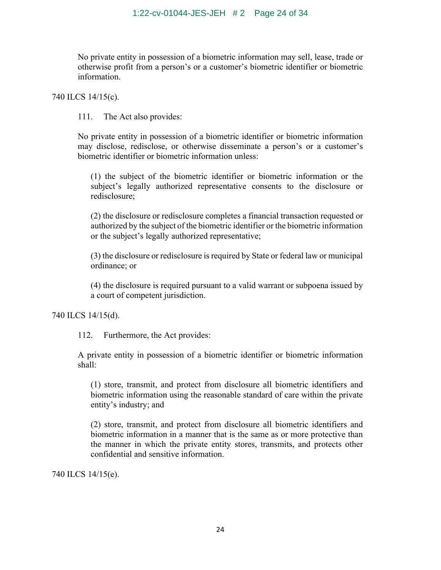No private entity in possession of a biometric information may sell, lease, trade or otherwise profit from a person's or a customer's biometric identifier or biometric information.

740 ILCS 14/15(c).

111. The Act also provides:

No private entity in possession of a biometric identifier or biometric information may disclose, redisclose, or otherwise disseminate a person's or a customer's biometric identifier or biometric information unless:

(1) the subject of the biometric identifier or biometric information or the subject's legally authorized representative consents to the disclosure or redisclosure;

(2) the disclosure or redisclosure completes a financial transaction requested or authorized by the subject of the biometric identifier or the biometric information or the subject's legally authorized representative;

(3) the disclosure or redisclosure is required by State or federal law or municipal ordinance; or

(4) the disclosure is required pursuant to a valid warrant or subpoena issued by a court of competent jurisdiction.

740 ILCS 14/15(d).

112. Furthermore, the Act provides:

A private entity in possession of a biometric identifier or biometric information shall:

(1) store, transmit, and protect from disclosure all biometric identifiers and biometric information using the reasonable standard of care within the private entity's industry; and

(2) store, transmit, and protect from disclosure all biometric identifiers and biometric information in a manner that is the same as or more protective than the manner in which the private entity stores, transmits, and protects other confidential and sensitive information.

740 ILCS 14/15(e).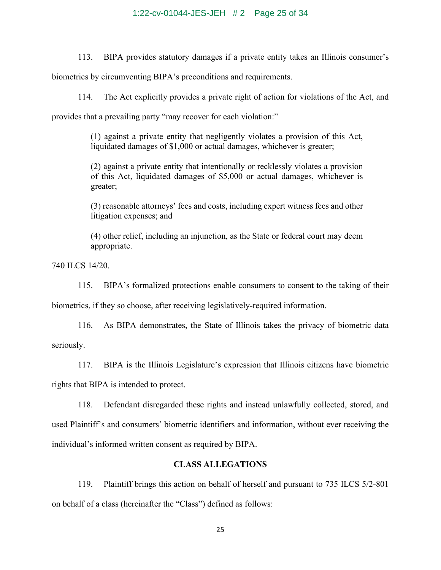### 1:22-cv-01044-JES-JEH # 2 Page 25 of 34

113. BIPA provides statutory damages if a private entity takes an Illinois consumer's

biometrics by circumventing BIPA's preconditions and requirements.

114. The Act explicitly provides a private right of action for violations of the Act, and

provides that a prevailing party "may recover for each violation:"

(1) against a private entity that negligently violates a provision of this Act, liquidated damages of \$1,000 or actual damages, whichever is greater;

(2) against a private entity that intentionally or recklessly violates a provision of this Act, liquidated damages of \$5,000 or actual damages, whichever is greater;

(3) reasonable attorneys' fees and costs, including expert witness fees and other litigation expenses; and

(4) other relief, including an injunction, as the State or federal court may deem appropriate.

740 ILCS 14/20.

115. BIPA's formalized protections enable consumers to consent to the taking of their

biometrics, if they so choose, after receiving legislatively-required information.

116. As BIPA demonstrates, the State of Illinois takes the privacy of biometric data seriously.

117. BIPA is the Illinois Legislature's expression that Illinois citizens have biometric rights that BIPA is intended to protect.

118. Defendant disregarded these rights and instead unlawfully collected, stored, and used Plaintiff's and consumers' biometric identifiers and information, without ever receiving the individual's informed written consent as required by BIPA.

# **CLASS ALLEGATIONS**

119. Plaintiff brings this action on behalf of herself and pursuant to 735 ILCS 5/2-801 on behalf of a class (hereinafter the "Class") defined as follows: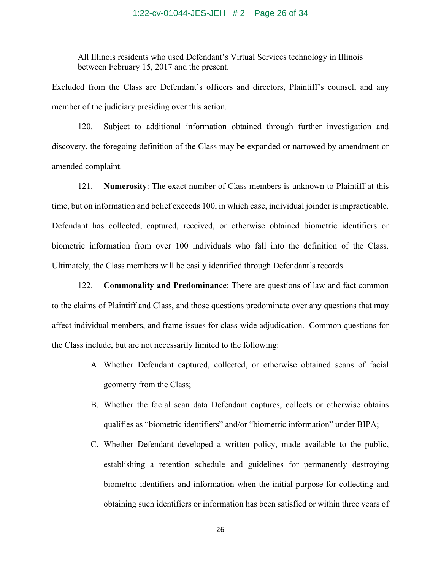### 1:22-cv-01044-JES-JEH # 2 Page 26 of 34

All Illinois residents who used Defendant's Virtual Services technology in Illinois between February 15, 2017 and the present.

Excluded from the Class are Defendant's officers and directors, Plaintiff's counsel, and any member of the judiciary presiding over this action.

120. Subject to additional information obtained through further investigation and discovery, the foregoing definition of the Class may be expanded or narrowed by amendment or amended complaint.

121. **Numerosity**: The exact number of Class members is unknown to Plaintiff at this time, but on information and belief exceeds 100, in which case, individual joinder is impracticable. Defendant has collected, captured, received, or otherwise obtained biometric identifiers or biometric information from over 100 individuals who fall into the definition of the Class. Ultimately, the Class members will be easily identified through Defendant's records.

122. **Commonality and Predominance**: There are questions of law and fact common to the claims of Plaintiff and Class, and those questions predominate over any questions that may affect individual members, and frame issues for class-wide adjudication. Common questions for the Class include, but are not necessarily limited to the following:

- A. Whether Defendant captured, collected, or otherwise obtained scans of facial geometry from the Class;
- B. Whether the facial scan data Defendant captures, collects or otherwise obtains qualifies as "biometric identifiers" and/or "biometric information" under BIPA;
- C. Whether Defendant developed a written policy, made available to the public, establishing a retention schedule and guidelines for permanently destroying biometric identifiers and information when the initial purpose for collecting and obtaining such identifiers or information has been satisfied or within three years of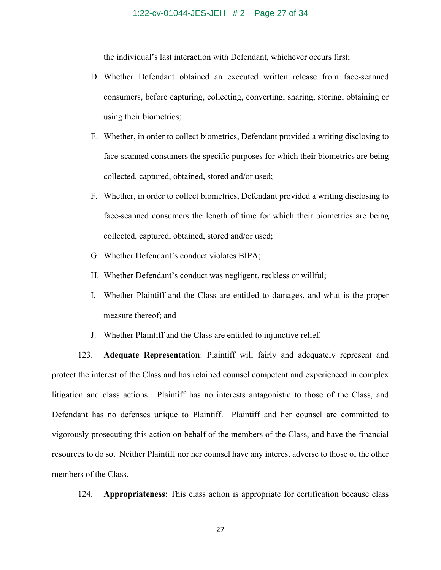#### 1:22-cv-01044-JES-JEH # 2 Page 27 of 34

the individual's last interaction with Defendant, whichever occurs first;

- D. Whether Defendant obtained an executed written release from face-scanned consumers, before capturing, collecting, converting, sharing, storing, obtaining or using their biometrics;
- E. Whether, in order to collect biometrics, Defendant provided a writing disclosing to face-scanned consumers the specific purposes for which their biometrics are being collected, captured, obtained, stored and/or used;
- F. Whether, in order to collect biometrics, Defendant provided a writing disclosing to face-scanned consumers the length of time for which their biometrics are being collected, captured, obtained, stored and/or used;
- G. Whether Defendant's conduct violates BIPA;
- H. Whether Defendant's conduct was negligent, reckless or willful;
- I. Whether Plaintiff and the Class are entitled to damages, and what is the proper measure thereof; and
- J. Whether Plaintiff and the Class are entitled to injunctive relief.

123. **Adequate Representation**: Plaintiff will fairly and adequately represent and protect the interest of the Class and has retained counsel competent and experienced in complex litigation and class actions. Plaintiff has no interests antagonistic to those of the Class, and Defendant has no defenses unique to Plaintiff. Plaintiff and her counsel are committed to vigorously prosecuting this action on behalf of the members of the Class, and have the financial resources to do so. Neither Plaintiff nor her counsel have any interest adverse to those of the other members of the Class.

124. **Appropriateness**: This class action is appropriate for certification because class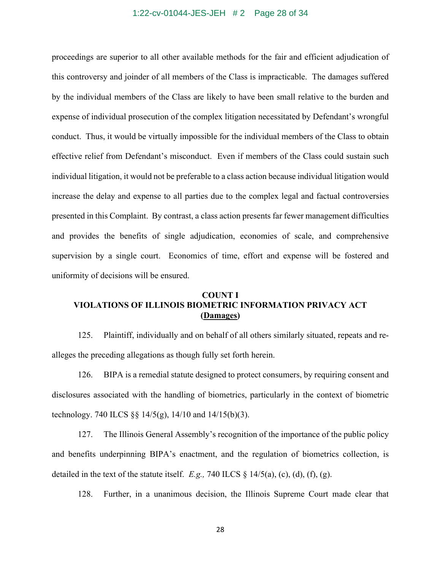#### 1:22-cv-01044-JES-JEH # 2 Page 28 of 34

proceedings are superior to all other available methods for the fair and efficient adjudication of this controversy and joinder of all members of the Class is impracticable. The damages suffered by the individual members of the Class are likely to have been small relative to the burden and expense of individual prosecution of the complex litigation necessitated by Defendant's wrongful conduct. Thus, it would be virtually impossible for the individual members of the Class to obtain effective relief from Defendant's misconduct. Even if members of the Class could sustain such individual litigation, it would not be preferable to a class action because individual litigation would increase the delay and expense to all parties due to the complex legal and factual controversies presented in this Complaint. By contrast, a class action presents far fewer management difficulties and provides the benefits of single adjudication, economies of scale, and comprehensive supervision by a single court. Economics of time, effort and expense will be fostered and uniformity of decisions will be ensured.

# **COUNT I VIOLATIONS OF ILLINOIS BIOMETRIC INFORMATION PRIVACY ACT (Damages)**

125. Plaintiff, individually and on behalf of all others similarly situated, repeats and realleges the preceding allegations as though fully set forth herein.

126. BIPA is a remedial statute designed to protect consumers, by requiring consent and disclosures associated with the handling of biometrics, particularly in the context of biometric technology. 740 ILCS  $\S$ § 14/5(g), 14/10 and 14/15(b)(3).

127. The Illinois General Assembly's recognition of the importance of the public policy and benefits underpinning BIPA's enactment, and the regulation of biometrics collection, is detailed in the text of the statute itself. *E.g.*, 740 ILCS  $\S$  14/5(a), (c), (d), (f), (g).

128. Further, in a unanimous decision, the Illinois Supreme Court made clear that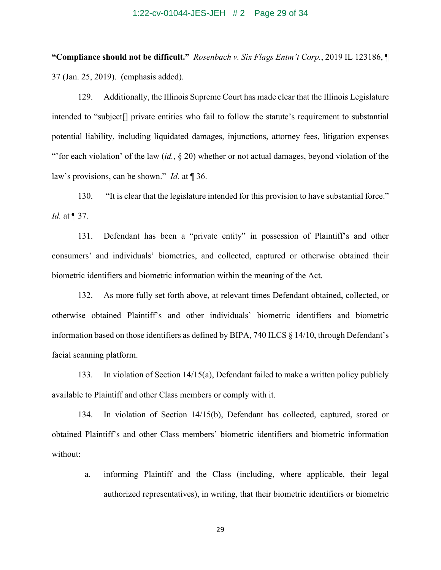#### 1:22-cv-01044-JES-JEH # 2 Page 29 of 34

**"Compliance should not be difficult."** *Rosenbach v. Six Flags Entm't Corp.*, 2019 IL 123186, ¶ 37 (Jan. 25, 2019). (emphasis added).

129. Additionally, the Illinois Supreme Court has made clear that the Illinois Legislature intended to "subject[] private entities who fail to follow the statute's requirement to substantial potential liability, including liquidated damages, injunctions, attorney fees, litigation expenses "'for each violation' of the law (*id.*, § 20) whether or not actual damages, beyond violation of the law's provisions, can be shown." *Id.* at ¶ 36.

130. "It is clear that the legislature intended for this provision to have substantial force." *Id.* at ¶ 37.

131. Defendant has been a "private entity" in possession of Plaintiff's and other consumers' and individuals' biometrics, and collected, captured or otherwise obtained their biometric identifiers and biometric information within the meaning of the Act.

132. As more fully set forth above, at relevant times Defendant obtained, collected, or otherwise obtained Plaintiff's and other individuals' biometric identifiers and biometric information based on those identifiers as defined by BIPA, 740 ILCS § 14/10, through Defendant's facial scanning platform.

133. In violation of Section 14/15(a), Defendant failed to make a written policy publicly available to Plaintiff and other Class members or comply with it.

134. In violation of Section 14/15(b), Defendant has collected, captured, stored or obtained Plaintiff's and other Class members' biometric identifiers and biometric information without:

a. informing Plaintiff and the Class (including, where applicable, their legal authorized representatives), in writing, that their biometric identifiers or biometric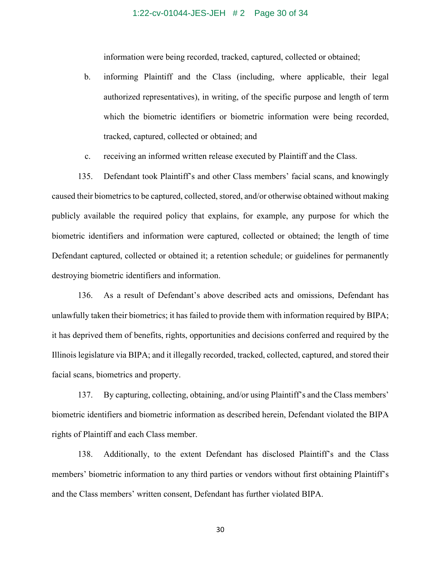#### 1:22-cv-01044-JES-JEH # 2 Page 30 of 34

information were being recorded, tracked, captured, collected or obtained;

- b. informing Plaintiff and the Class (including, where applicable, their legal authorized representatives), in writing, of the specific purpose and length of term which the biometric identifiers or biometric information were being recorded, tracked, captured, collected or obtained; and
- c. receiving an informed written release executed by Plaintiff and the Class.

135. Defendant took Plaintiff's and other Class members' facial scans, and knowingly caused their biometrics to be captured, collected, stored, and/or otherwise obtained without making publicly available the required policy that explains, for example, any purpose for which the biometric identifiers and information were captured, collected or obtained; the length of time Defendant captured, collected or obtained it; a retention schedule; or guidelines for permanently destroying biometric identifiers and information.

136. As a result of Defendant's above described acts and omissions, Defendant has unlawfully taken their biometrics; it has failed to provide them with information required by BIPA; it has deprived them of benefits, rights, opportunities and decisions conferred and required by the Illinois legislature via BIPA; and it illegally recorded, tracked, collected, captured, and stored their facial scans, biometrics and property.

137. By capturing, collecting, obtaining, and/or using Plaintiff's and the Class members' biometric identifiers and biometric information as described herein, Defendant violated the BIPA rights of Plaintiff and each Class member.

138. Additionally, to the extent Defendant has disclosed Plaintiff's and the Class members' biometric information to any third parties or vendors without first obtaining Plaintiff's and the Class members' written consent, Defendant has further violated BIPA.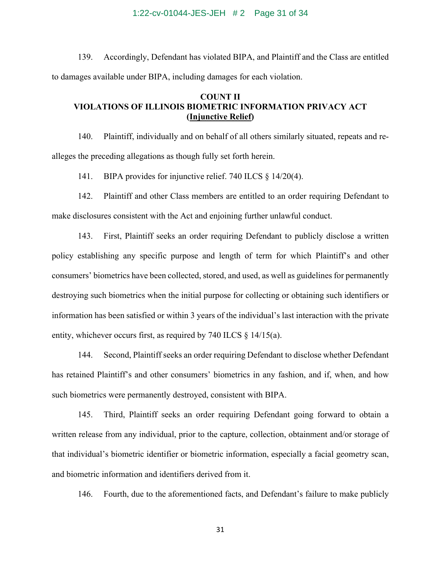#### 1:22-cv-01044-JES-JEH # 2 Page 31 of 34

139. Accordingly, Defendant has violated BIPA, and Plaintiff and the Class are entitled to damages available under BIPA, including damages for each violation.

# **COUNT II VIOLATIONS OF ILLINOIS BIOMETRIC INFORMATION PRIVACY ACT (Injunctive Relief)**

140. Plaintiff, individually and on behalf of all others similarly situated, repeats and realleges the preceding allegations as though fully set forth herein.

141. BIPA provides for injunctive relief. 740 ILCS § 14/20(4).

142. Plaintiff and other Class members are entitled to an order requiring Defendant to make disclosures consistent with the Act and enjoining further unlawful conduct.

143. First, Plaintiff seeks an order requiring Defendant to publicly disclose a written policy establishing any specific purpose and length of term for which Plaintiff's and other consumers' biometrics have been collected, stored, and used, as well as guidelines for permanently destroying such biometrics when the initial purpose for collecting or obtaining such identifiers or information has been satisfied or within 3 years of the individual's last interaction with the private entity, whichever occurs first, as required by 740 ILCS § 14/15(a).

144. Second, Plaintiff seeks an order requiring Defendant to disclose whether Defendant has retained Plaintiff's and other consumers' biometrics in any fashion, and if, when, and how such biometrics were permanently destroyed, consistent with BIPA.

145. Third, Plaintiff seeks an order requiring Defendant going forward to obtain a written release from any individual, prior to the capture, collection, obtainment and/or storage of that individual's biometric identifier or biometric information, especially a facial geometry scan, and biometric information and identifiers derived from it.

146. Fourth, due to the aforementioned facts, and Defendant's failure to make publicly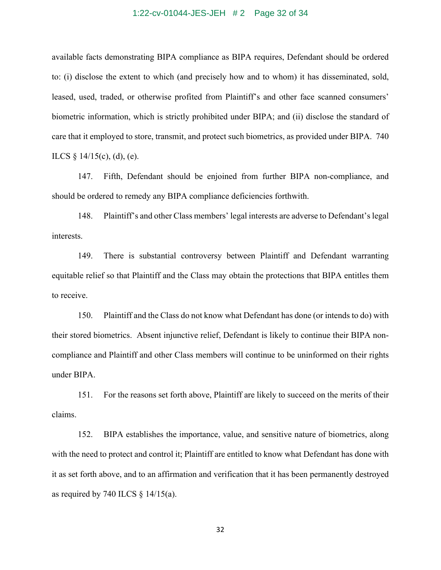#### 1:22-cv-01044-JES-JEH # 2 Page 32 of 34

available facts demonstrating BIPA compliance as BIPA requires, Defendant should be ordered to: (i) disclose the extent to which (and precisely how and to whom) it has disseminated, sold, leased, used, traded, or otherwise profited from Plaintiff's and other face scanned consumers' biometric information, which is strictly prohibited under BIPA; and (ii) disclose the standard of care that it employed to store, transmit, and protect such biometrics, as provided under BIPA. 740 ILCS  $\S$  14/15(c), (d), (e).

147. Fifth, Defendant should be enjoined from further BIPA non-compliance, and should be ordered to remedy any BIPA compliance deficiencies forthwith.

148. Plaintiff's and other Class members' legal interests are adverse to Defendant's legal interests.

149. There is substantial controversy between Plaintiff and Defendant warranting equitable relief so that Plaintiff and the Class may obtain the protections that BIPA entitles them to receive.

150. Plaintiff and the Class do not know what Defendant has done (or intends to do) with their stored biometrics. Absent injunctive relief, Defendant is likely to continue their BIPA noncompliance and Plaintiff and other Class members will continue to be uninformed on their rights under BIPA.

151. For the reasons set forth above, Plaintiff are likely to succeed on the merits of their claims.

152. BIPA establishes the importance, value, and sensitive nature of biometrics, along with the need to protect and control it; Plaintiff are entitled to know what Defendant has done with it as set forth above, and to an affirmation and verification that it has been permanently destroyed as required by 740 ILCS  $\S$  14/15(a).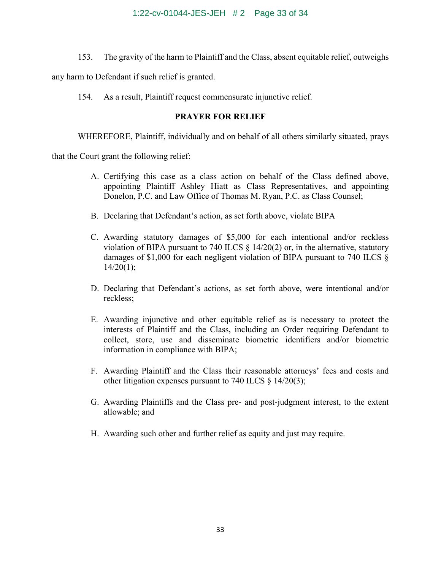153. The gravity of the harm to Plaintiff and the Class, absent equitable relief, outweighs

any harm to Defendant if such relief is granted.

154. As a result, Plaintiff request commensurate injunctive relief.

# **PRAYER FOR RELIEF**

WHEREFORE, Plaintiff, individually and on behalf of all others similarly situated, prays

that the Court grant the following relief:

- A. Certifying this case as a class action on behalf of the Class defined above, appointing Plaintiff Ashley Hiatt as Class Representatives, and appointing Donelon, P.C. and Law Office of Thomas M. Ryan, P.C. as Class Counsel;
- B. Declaring that Defendant's action, as set forth above, violate BIPA
- C. Awarding statutory damages of \$5,000 for each intentional and/or reckless violation of BIPA pursuant to 740 ILCS  $\S$  14/20(2) or, in the alternative, statutory damages of \$1,000 for each negligent violation of BIPA pursuant to 740 ILCS §  $14/20(1);$
- D. Declaring that Defendant's actions, as set forth above, were intentional and/or reckless;
- E. Awarding injunctive and other equitable relief as is necessary to protect the interests of Plaintiff and the Class, including an Order requiring Defendant to collect, store, use and disseminate biometric identifiers and/or biometric information in compliance with BIPA;
- F. Awarding Plaintiff and the Class their reasonable attorneys' fees and costs and other litigation expenses pursuant to 740 ILCS § 14/20(3);
- G. Awarding Plaintiffs and the Class pre- and post-judgment interest, to the extent allowable; and
- H. Awarding such other and further relief as equity and just may require.